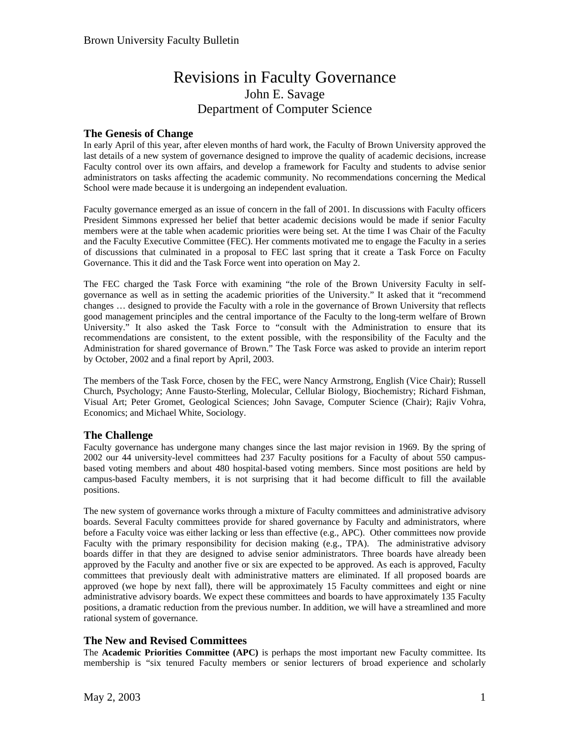# Revisions in Faculty Governance John E. Savage Department of Computer Science

# **The Genesis of Change**

In early April of this year, after eleven months of hard work, the Faculty of Brown University approved the last details of a new system of governance designed to improve the quality of academic decisions, increase Faculty control over its own affairs, and develop a framework for Faculty and students to advise senior administrators on tasks affecting the academic community. No recommendations concerning the Medical School were made because it is undergoing an independent evaluation.

Faculty governance emerged as an issue of concern in the fall of 2001. In discussions with Faculty officers President Simmons expressed her belief that better academic decisions would be made if senior Faculty members were at the table when academic priorities were being set. At the time I was Chair of the Faculty and the Faculty Executive Committee (FEC). Her comments motivated me to engage the Faculty in a series of discussions that culminated in a proposal to FEC last spring that it create a Task Force on Faculty Governance. This it did and the Task Force went into operation on May 2.

The FEC charged the Task Force with examining "the role of the Brown University Faculty in selfgovernance as well as in setting the academic priorities of the University." It asked that it "recommend changes … designed to provide the Faculty with a role in the governance of Brown University that reflects good management principles and the central importance of the Faculty to the long-term welfare of Brown University." It also asked the Task Force to "consult with the Administration to ensure that its recommendations are consistent, to the extent possible, with the responsibility of the Faculty and the Administration for shared governance of Brown." The Task Force was asked to provide an interim report by October, 2002 and a final report by April, 2003.

The members of the Task Force, chosen by the FEC, were Nancy Armstrong, English (Vice Chair); Russell Church, Psychology; Anne Fausto-Sterling, Molecular, Cellular Biology, Biochemistry; Richard Fishman, Visual Art; Peter Gromet, Geological Sciences; John Savage, Computer Science (Chair); Rajiv Vohra, Economics; and Michael White, Sociology.

# **The Challenge**

Faculty governance has undergone many changes since the last major revision in 1969. By the spring of 2002 our 44 university-level committees had 237 Faculty positions for a Faculty of about 550 campusbased voting members and about 480 hospital-based voting members. Since most positions are held by campus-based Faculty members, it is not surprising that it had become difficult to fill the available positions.

The new system of governance works through a mixture of Faculty committees and administrative advisory boards. Several Faculty committees provide for shared governance by Faculty and administrators, where before a Faculty voice was either lacking or less than effective (e.g., APC). Other committees now provide Faculty with the primary responsibility for decision making (e.g., TPA). The administrative advisory boards differ in that they are designed to advise senior administrators. Three boards have already been approved by the Faculty and another five or six are expected to be approved. As each is approved, Faculty committees that previously dealt with administrative matters are eliminated. If all proposed boards are approved (we hope by next fall), there will be approximately 15 Faculty committees and eight or nine administrative advisory boards. We expect these committees and boards to have approximately 135 Faculty positions, a dramatic reduction from the previous number. In addition, we will have a streamlined and more rational system of governance.

# **The New and Revised Committees**

The **Academic Priorities Committee (APC)** is perhaps the most important new Faculty committee. Its membership is "six tenured Faculty members or senior lecturers of broad experience and scholarly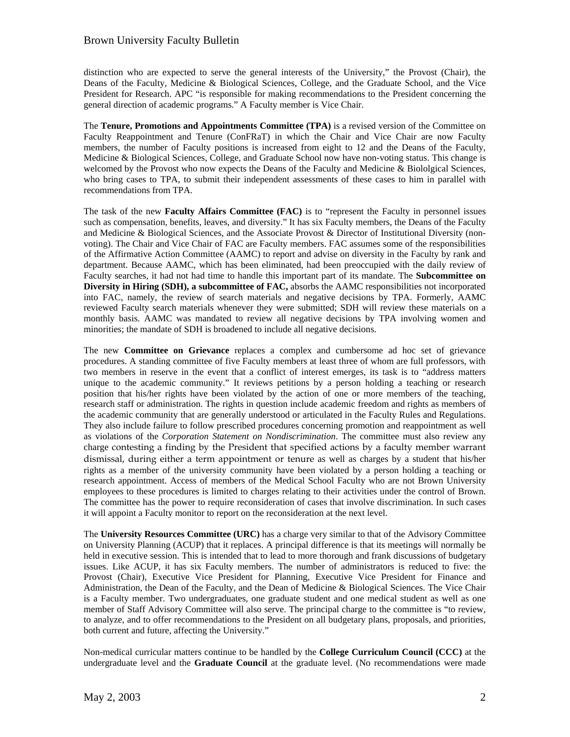## Brown University Faculty Bulletin

distinction who are expected to serve the general interests of the University," the Provost (Chair), the Deans of the Faculty, Medicine & Biological Sciences, College, and the Graduate School, and the Vice President for Research. APC "is responsible for making recommendations to the President concerning the general direction of academic programs." A Faculty member is Vice Chair.

The **Tenure, Promotions and Appointments Committee (TPA)** is a revised version of the Committee on Faculty Reappointment and Tenure (ConFRaT) in which the Chair and Vice Chair are now Faculty members, the number of Faculty positions is increased from eight to 12 and the Deans of the Faculty, Medicine & Biological Sciences, College, and Graduate School now have non-voting status. This change is welcomed by the Provost who now expects the Deans of the Faculty and Medicine & Biololgical Sciences, who bring cases to TPA, to submit their independent assessments of these cases to him in parallel with recommendations from TPA.

The task of the new **Faculty Affairs Committee (FAC)** is to "represent the Faculty in personnel issues such as compensation, benefits, leaves, and diversity." It has six Faculty members, the Deans of the Faculty and Medicine & Biological Sciences, and the Associate Provost & Director of Institutional Diversity (nonvoting). The Chair and Vice Chair of FAC are Faculty members. FAC assumes some of the responsibilities of the Affirmative Action Committee (AAMC) to report and advise on diversity in the Faculty by rank and department. Because AAMC, which has been eliminated, had been preoccupied with the daily review of Faculty searches, it had not had time to handle this important part of its mandate. The **Subcommittee on Diversity in Hiring (SDH), a subcommittee of FAC,** absorbs the AAMC responsibilities not incorporated into FAC, namely, the review of search materials and negative decisions by TPA. Formerly, AAMC reviewed Faculty search materials whenever they were submitted; SDH will review these materials on a monthly basis. AAMC was mandated to review all negative decisions by TPA involving women and minorities; the mandate of SDH is broadened to include all negative decisions.

The new **Committee on Grievance** replaces a complex and cumbersome ad hoc set of grievance procedures. A standing committee of five Faculty members at least three of whom are full professors, with two members in reserve in the event that a conflict of interest emerges, its task is to "address matters unique to the academic community." It reviews petitions by a person holding a teaching or research position that his/her rights have been violated by the action of one or more members of the teaching, research staff or administration. The rights in question include academic freedom and rights as members of the academic community that are generally understood or articulated in the Faculty Rules and Regulations. They also include failure to follow prescribed procedures concerning promotion and reappointment as well as violations of the *Corporation Statement on Nondiscrimination*. The committee must also review any charge contesting a finding by the President that specified actions by a faculty member warrant dismissal, during either a term appointment or tenure as well as charges by a student that his/her rights as a member of the university community have been violated by a person holding a teaching or research appointment. Access of members of the Medical School Faculty who are not Brown University employees to these procedures is limited to charges relating to their activities under the control of Brown. The committee has the power to require reconsideration of cases that involve discrimination. In such cases it will appoint a Faculty monitor to report on the reconsideration at the next level.

The **University Resources Committee (URC)** has a charge very similar to that of the Advisory Committee on University Planning (ACUP) that it replaces. A principal difference is that its meetings will normally be held in executive session. This is intended that to lead to more thorough and frank discussions of budgetary issues. Like ACUP, it has six Faculty members. The number of administrators is reduced to five: the Provost (Chair), Executive Vice President for Planning, Executive Vice President for Finance and Administration, the Dean of the Faculty, and the Dean of Medicine & Biological Sciences. The Vice Chair is a Faculty member. Two undergraduates, one graduate student and one medical student as well as one member of Staff Advisory Committee will also serve. The principal charge to the committee is "to review, to analyze, and to offer recommendations to the President on all budgetary plans, proposals, and priorities, both current and future, affecting the University."

Non-medical curricular matters continue to be handled by the **College Curriculum Council (CCC)** at the undergraduate level and the **Graduate Council** at the graduate level. (No recommendations were made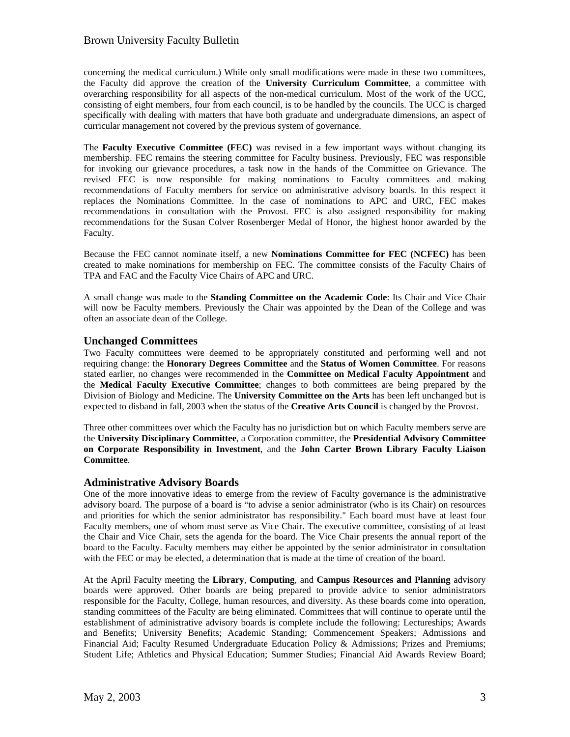# Brown University Faculty Bulletin

concerning the medical curriculum.) While only small modifications were made in these two committees, the Faculty did approve the creation of the **University Curriculum Committee**, a committee with overarching responsibility for all aspects of the non-medical curriculum. Most of the work of the UCC, consisting of eight members, four from each council, is to be handled by the councils. The UCC is charged specifically with dealing with matters that have both graduate and undergraduate dimensions, an aspect of curricular management not covered by the previous system of governance.

The **Faculty Executive Committee (FEC)** was revised in a few important ways without changing its membership. FEC remains the steering committee for Faculty business. Previously, FEC was responsible for invoking our grievance procedures, a task now in the hands of the Committee on Grievance. The revised FEC is now responsible for making nominations to Faculty committees and making recommendations of Faculty members for service on administrative advisory boards. In this respect it replaces the Nominations Committee. In the case of nominations to APC and URC, FEC makes recommendations in consultation with the Provost. FEC is also assigned responsibility for making recommendations for the Susan Colver Rosenberger Medal of Honor, the highest honor awarded by the Faculty.

Because the FEC cannot nominate itself, a new **Nominations Committee for FEC (NCFEC)** has been created to make nominations for membership on FEC. The committee consists of the Faculty Chairs of TPA and FAC and the Faculty Vice Chairs of APC and URC.

A small change was made to the **Standing Committee on the Academic Code**: Its Chair and Vice Chair will now be Faculty members. Previously the Chair was appointed by the Dean of the College and was often an associate dean of the College.

## **Unchanged Committees**

Two Faculty committees were deemed to be appropriately constituted and performing well and not requiring change: the **Honorary Degrees Committee** and the **Status of Women Committee**. For reasons stated earlier, no changes were recommended in the **Committee on Medical Faculty Appointment** and the **Medical Faculty Executive Committee**; changes to both committees are being prepared by the Division of Biology and Medicine. The **University Committee on the Arts** has been left unchanged but is expected to disband in fall, 2003 when the status of the **Creative Arts Council** is changed by the Provost.

Three other committees over which the Faculty has no jurisdiction but on which Faculty members serve are the **University Disciplinary Committee**, a Corporation committee, the **Presidential Advisory Committee on Corporate Responsibility in Investment**, and the **John Carter Brown Library Faculty Liaison Committee**.

#### **Administrative Advisory Boards**

One of the more innovative ideas to emerge from the review of Faculty governance is the administrative advisory board. The purpose of a board is "to advise a senior administrator (who is its Chair) on resources and priorities for which the senior administrator has responsibility." Each board must have at least four Faculty members, one of whom must serve as Vice Chair. The executive committee, consisting of at least the Chair and Vice Chair, sets the agenda for the board. The Vice Chair presents the annual report of the board to the Faculty. Faculty members may either be appointed by the senior administrator in consultation with the FEC or may be elected, a determination that is made at the time of creation of the board.

At the April Faculty meeting the **Library**, **Computing**, and **Campus Resources and Planning** advisory boards were approved. Other boards are being prepared to provide advice to senior administrators responsible for the Faculty, College, human resources, and diversity. As these boards come into operation, standing committees of the Faculty are being eliminated. Committees that will continue to operate until the establishment of administrative advisory boards is complete include the following: Lectureships; Awards and Benefits; University Benefits; Academic Standing; Commencement Speakers; Admissions and Financial Aid; Faculty Resumed Undergraduate Education Policy & Admissions; Prizes and Premiums; Student Life; Athletics and Physical Education; Summer Studies; Financial Aid Awards Review Board;